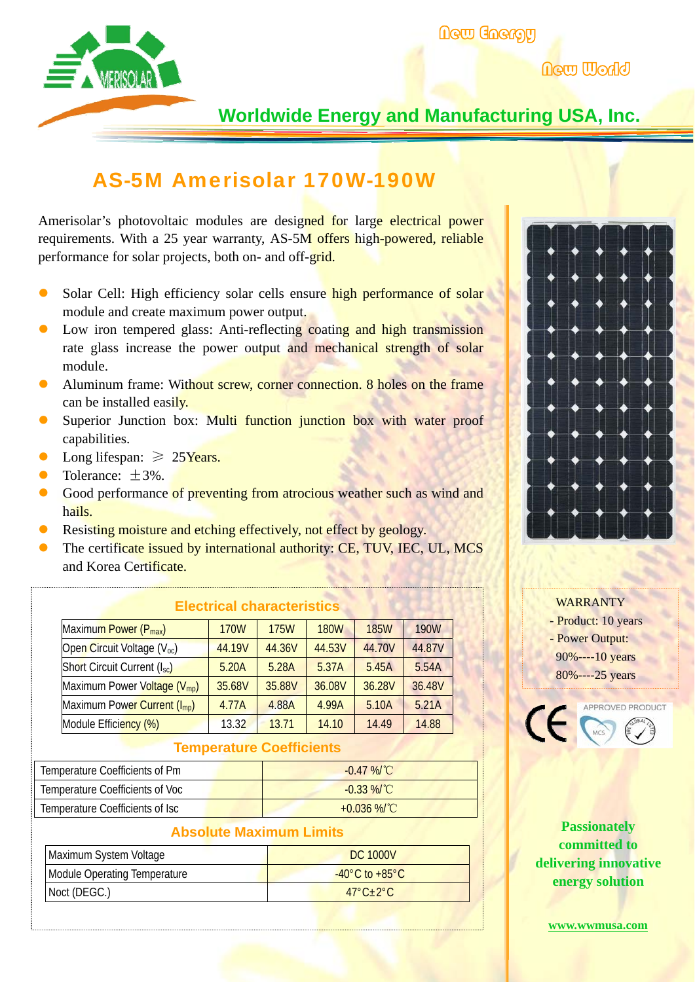

New World

## **Worldwide Energy and Manufacturing USA, Inc.**

# AS-5M Amerisolar 170W-190W

Amerisolar's photovoltaic modules are designed for large electrical power requirements. With a 25 year warranty, AS-5M offers high-powered, reliable performance for solar projects, both on- and off-grid.

- Solar Cell: High efficiency solar cells ensure high performance of solar module and create maximum power output.
- Low iron tempered glass: Anti-reflecting coating and high transmission rate glass increase the power output and mechanical strength of solar module.
- Aluminum frame: Without screw, corner connection. 8 holes on the frame can be installed easily.
- Superior Junction box: Multi function junction box with water proof capabilities.
- Long lifespan:  $\geq 25$ Years.
- Tolerance:  $\pm 3\%$ .
- Good performance of preventing from atrocious weather such as wind and hails.
- Resisting moisture and etching effectively, not effect by geology.
- The certificate issued by international authority: CE, TUV, IEC, UL, MCS and Korea Certificate.

|                                          |             | екоипоаг онагаологтолоо |             |             |             |
|------------------------------------------|-------------|-------------------------|-------------|-------------|-------------|
| Maximum Power (P <sub>max</sub> )        | <b>170W</b> | <b>175W</b>             | <b>180W</b> | <b>185W</b> | <b>190W</b> |
| Open Circuit Voltage (V <sub>oc</sub> )  | 44.19V      | 44.36V                  | 44.53V      | 44.70V      | 44.87V      |
| Short Circuit Current (Isc)              | 5.20A       | 5.28A                   | 5.37A       | 5.45A       | 5.54A       |
| Maximum Power Voltage (V <sub>mp</sub> ) | 35.68V      | 35.88V                  | 36.08V      | 36.28V      | 36.48V      |
| Maximum Power Current (I <sub>mp</sub> ) | 4.77A       | 4.88A                   | 4.99A       | 5.10A       | 5.21A       |
| Module Efficiency (%)                    | 13.32       | 13.71                   | 14.10       | 14.49       | 14.88       |

**Electrical characteristics** 

#### **Temperature Coefficients**

| Temperature Coefficients of Pm  | $-0.47\%$ /°C |
|---------------------------------|---------------|
| Temperature Coefficients of Voc | $-0.33\%$ /°C |
| Temperature Coefficients of Isc | +0.036 %/°C   |

| <b>Absolute Maximum Limits</b>     |  |  |  |  |
|------------------------------------|--|--|--|--|
| DC 1000V                           |  |  |  |  |
| $-40^{\circ}$ C to $+85^{\circ}$ C |  |  |  |  |
| $47^\circ C + 2^\circ C$           |  |  |  |  |
|                                    |  |  |  |  |



#### WARRANTY - Product: 10 years - Power Output: 90%----10 years 80%----25 years



**Passionately committed to delivering innovative energy solution** 

**www.wwmusa.com**